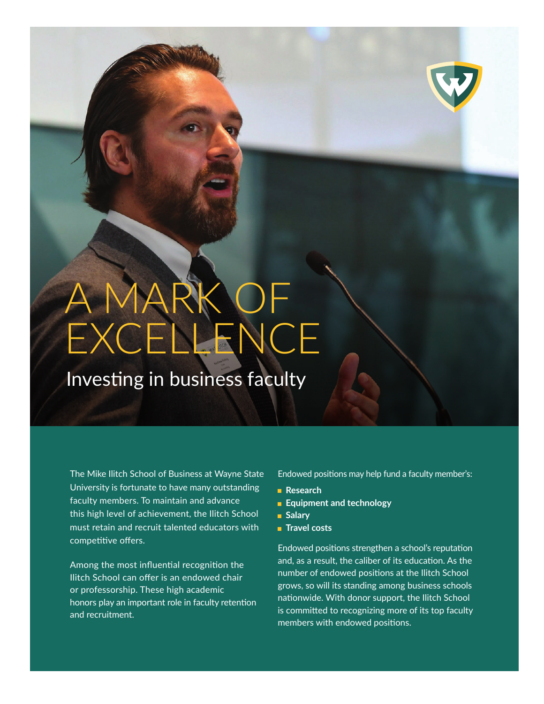## A MARK OF EXCELLENCE

Investing in business faculty

The Mike Ilitch School of Business at Wayne State University is fortunate to have many outstanding faculty members. To maintain and advance this high level of achievement, the Ilitch School must retain and recruit talented educators with competitive offers.

Among the most influential recognition the Ilitch School can offer is an endowed chair or professorship. These high academic honors play an important role in faculty retention and recruitment.

Endowed positions may help fund a faculty member's:

- **Research**
- **Equipment and technology**
- **Salary**
- **Travel costs**

Endowed positions strengthen a school's reputation and, as a result, the caliber of its education. As the number of endowed positions at the Ilitch School grows, so will its standing among business schools nationwide. With donor support, the Ilitch School is committed to recognizing more of its top faculty members with endowed positions.